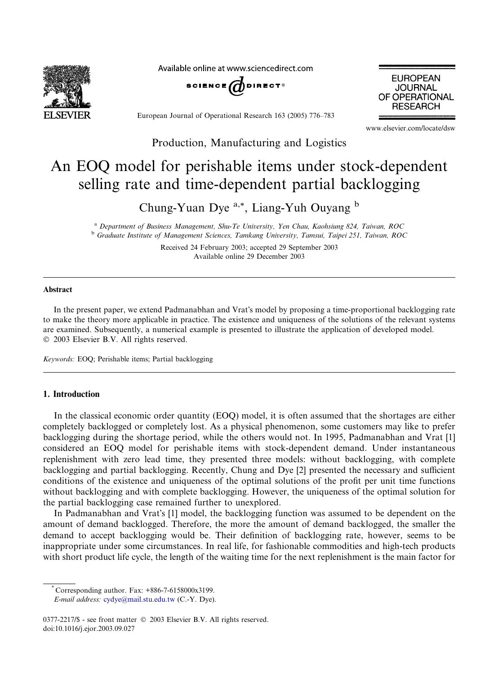

Available online at www.sciencedirect.com



**JOURNAL** OF OPERATIONAL **RESEARCH** 

**EUROPEAN** 

European Journal of Operational Research 163 (2005) 776–783

www.elsevier.com/locate/dsw

Production, Manufacturing and Logistics

# An EOQ model for perishable items under stock-dependent selling rate and time-dependent partial backlogging

Chung-Yuan Dye a,\*, Liang-Yuh Ouyang <sup>b</sup>

<sup>a</sup> Department of Business Management, Shu-Te University, Yen Chau, Kaohsiung 824, Taiwan, ROC <sup>b</sup> Graduate Institute of Management Sciences, Tamkang University, Tamsui, Taipei 251, Taiwan, ROC

> Received 24 February 2003; accepted 29 September 2003 Available online 29 December 2003

#### Abstract

In the present paper, we extend Padmanabhan and Vrat's model by proposing a time-proportional backlogging rate to make the theory more applicable in practice. The existence and uniqueness of the solutions of the relevant systems are examined. Subsequently, a numerical example is presented to illustrate the application of developed model. 2003 Elsevier B.V. All rights reserved.

Keywords: EOQ; Perishable items; Partial backlogging

## 1. Introduction

In the classical economic order quantity (EOQ) model, it is often assumed that the shortages are either completely backlogged or completely lost. As a physical phenomenon, some customers may like to prefer backlogging during the shortage period, while the others would not. In 1995, Padmanabhan and Vrat [1] considered an EOQ model for perishable items with stock-dependent demand. Under instantaneous replenishment with zero lead time, they presented three models: without backlogging, with complete backlogging and partial backlogging. Recently, Chung and Dye [2] presented the necessary and sufficient conditions of the existence and uniqueness of the optimal solutions of the profit per unit time functions without backlogging and with complete backlogging. However, the uniqueness of the optimal solution for the partial backlogging case remained further to unexplored.

In Padmanabhan and Vrat's [1] model, the backlogging function was assumed to be dependent on the amount of demand backlogged. Therefore, the more the amount of demand backlogged, the smaller the demand to accept backlogging would be. Their definition of backlogging rate, however, seems to be inappropriate under some circumstances. In real life, for fashionable commodities and high-tech products with short product life cycle, the length of the waiting time for the next replenishment is the main factor for

<sup>\*</sup> Corresponding author. Fax: +886-7-6158000x3199.

E-mail address: [cydye@mail.stu.edu.tw](mail to: cydye@mail.stu.edu.tw) (C.-Y. Dye).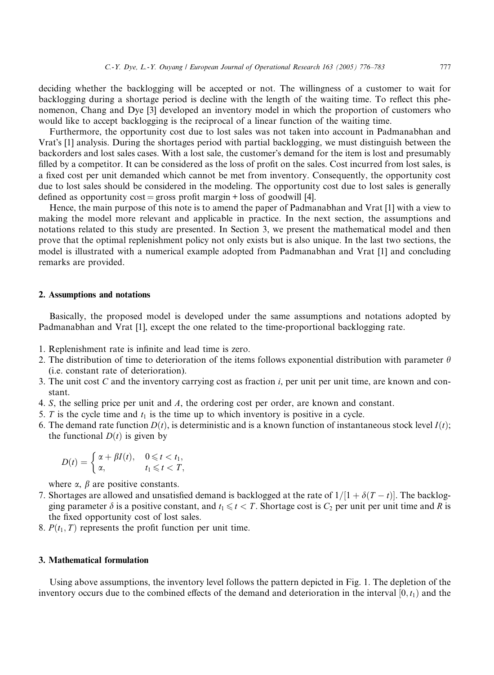deciding whether the backlogging will be accepted or not. The willingness of a customer to wait for backlogging during a shortage period is decline with the length of the waiting time. To reflect this phenomenon, Chang and Dye [3] developed an inventory model in which the proportion of customers who would like to accept backlogging is the reciprocal of a linear function of the waiting time.

Furthermore, the opportunity cost due to lost sales was not taken into account in Padmanabhan and Vrats [1] analysis. During the shortages period with partial backlogging, we must distinguish between the backorders and lost sales cases. With a lost sale, the customer's demand for the item is lost and presumably filled by a competitor. It can be considered as the loss of profit on the sales. Cost incurred from lost sales, is a fixed cost per unit demanded which cannot be met from inventory. Consequently, the opportunity cost due to lost sales should be considered in the modeling. The opportunity cost due to lost sales is generally defined as opportunity  $cost = gross$  profit margin + loss of goodwill [4].

Hence, the main purpose of this note is to amend the paper of Padmanabhan and Vrat [1] with a view to making the model more relevant and applicable in practice. In the next section, the assumptions and notations related to this study are presented. In Section 3, we present the mathematical model and then prove that the optimal replenishment policy not only exists but is also unique. In the last two sections, the model is illustrated with a numerical example adopted from Padmanabhan and Vrat [1] and concluding remarks are provided.

#### 2. Assumptions and notations

Basically, the proposed model is developed under the same assumptions and notations adopted by Padmanabhan and Vrat [1], except the one related to the time-proportional backlogging rate.

- 1. Replenishment rate is infinite and lead time is zero.
- 2. The distribution of time to deterioration of the items follows exponential distribution with parameter  $\theta$ (i.e. constant rate of deterioration).
- 3. The unit cost C and the inventory carrying cost as fraction  $i$ , per unit per unit time, are known and constant.
- 4. S, the selling price per unit and A, the ordering cost per order, are known and constant.
- 5. T is the cycle time and  $t_1$  is the time up to which inventory is positive in a cycle.
- 6. The demand rate function  $D(t)$ , is deterministic and is a known function of instantaneous stock level  $I(t)$ ; the functional  $D(t)$  is given by

$$
D(t) = \begin{cases} \alpha + \beta I(t), & 0 \leq t < t_1, \\ \alpha, & t_1 \leq t < T, \end{cases}
$$

where  $\alpha$ ,  $\beta$  are positive constants.

- 7. Shortages are allowed and unsatisfied demand is backlogged at the rate of  $1/[1 + \delta(T t)]$ . The backlogging parameter  $\delta$  is a positive constant, and  $t_1 \le t < T$ . Shortage cost is  $C_2$  per unit per unit time and R is the fixed opportunity cost of lost sales.
- 8.  $P(t_1, T)$  represents the profit function per unit time.

## 3. Mathematical formulation

Using above assumptions, the inventory level follows the pattern depicted in Fig. 1. The depletion of the inventory occurs due to the combined effects of the demand and deterioration in the interval  $[0, t_1)$  and the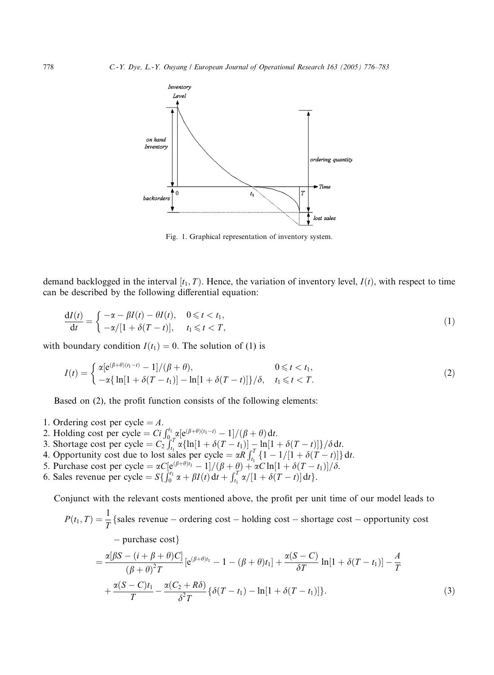

Fig. 1. Graphical representation of inventory system.

demand backlogged in the interval  $[t_1, T)$ . Hence, the variation of inventory level,  $I(t)$ , with respect to time can be described by the following differential equation:

$$
\frac{dI(t)}{dt} = \begin{cases}\n-\alpha - \beta I(t) - \theta I(t), & 0 \leq t < t_1, \\
-\alpha/[1 + \delta(T - t)], & t_1 \leq t < T,\n\end{cases}
$$
\n(1)

with boundary condition  $I(t_1) = 0$ . The solution of (1) is

$$
I(t) = \begin{cases} \alpha[e^{(\beta+\theta)(t_1-t)} - 1]/(\beta+\theta), & 0 \leq t < t_1, \\ -\alpha\{\ln[1+\delta(T-t_1)] - \ln[1+\delta(T-t)]\}/\delta, & t_1 \leq t < T. \end{cases}
$$
(2)

Based on (2), the profit function consists of the following elements:

- 1. Ordering cost per cycle  $= A$ .
- 2. Holding cost per cycle  $= Ci \int_{0}^{t_1} \alpha[e^{(\beta+\theta)(t_1-t)}-1]/(\beta+\theta) dt$ .
- 3. Shortage cost per cycle =  $C_2 \int_{t_1}^{t_2} \alpha {\ln[1 + \delta (T t_1)] \ln[1 + \delta (T t)]} / \delta dt$ .
- 4. Opportunity cost due to lost sales per cycle =  $\alpha R \int_{t_1}^{T} \{1 1/[1 + \delta(T t)]\} dt$ .
- 5. Purchase cost per cycle =  $\alpha C[e^{(\beta+\theta)t_1} 1]/(\beta + \theta) + \alpha C \ln[1 + \delta(T t_1)]/\delta$ .
- 6. Sales revenue per cycle =  $S\{ \int_0^{t_1} \alpha + \beta I(t) dt + \int_{t_1}^{T} \alpha / [1 + \delta (T t)] dt \}.$

Conjunct with the relevant costs mentioned above, the profit per unit time of our model leads to

 $P(t_1, T) = \frac{1}{T}$  {sales revenue – ordering cost – holding cost – shortage cost – opportunity cost  $-$  purchase cost}  $\frac{\alpha[\beta S-(i+\beta+\theta)C]}{(\beta+\theta)^2T}[\mathrm{e}^{(\beta+\theta)t_1}-1-(\beta+\theta)t_1]+\frac{\alpha(S-C)}{\delta T}\ln[1+\delta(T-t_1)]-\frac{A}{T}$  $+\frac{\alpha(S-C)t_1}{T}-\frac{\alpha(C_2+R\delta)}{\delta^2T}\{\delta(T-t_1)-\ln[1+\delta(T-t_1)]$  $\}.$  (3)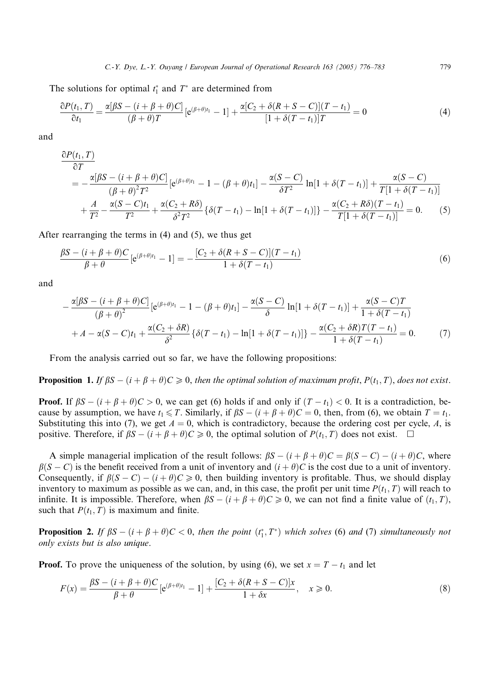The solutions for optimal  $t_1^*$  and  $T^*$  are determined from

$$
\frac{\partial P(t_1, T)}{\partial t_1} = \frac{\alpha[\beta S - (i + \beta + \theta)C]}{(\beta + \theta)T} \left[e^{(\beta + \theta)t_1} - 1\right] + \frac{\alpha[C_2 + \delta(R + S - C)](T - t_1)}{[1 + \delta(T - t_1)]T} = 0\tag{4}
$$

and

$$
\frac{\partial P(t_1, T)}{\partial T} = -\frac{\alpha[\beta S - (i + \beta + \theta)C]}{(\beta + \theta)^2 T^2} \left[e^{(\beta + \theta)t_1} - 1 - (\beta + \theta)t_1\right] - \frac{\alpha(S - C)}{\delta T^2} \ln[1 + \delta(T - t_1)] + \frac{\alpha(S - C)}{T[1 + \delta(T - t_1)]} + \frac{A}{T^2} - \frac{\alpha(S - C)t_1}{T^2} + \frac{\alpha(C_2 + R\delta)}{\delta^2 T^2} \left\{\delta(T - t_1) - \ln[1 + \delta(T - t_1)]\right\} - \frac{\alpha(C_2 + R\delta)(T - t_1)}{T[1 + \delta(T - t_1)]} = 0.
$$
 (5)

After rearranging the terms in (4) and (5), we thus get

$$
\frac{\beta S - (i + \beta + \theta)C}{\beta + \theta} \left[ e^{(\beta + \theta)t_1} - 1 \right] = -\frac{[C_2 + \delta(R + S - C)](T - t_1)}{1 + \delta(T - t_1)}
$$
(6)

and

$$
-\frac{\alpha[\beta S - (i + \beta + \theta)C]}{(\beta + \theta)^2} [e^{(\beta + \theta)t_1} - 1 - (\beta + \theta)t_1] - \frac{\alpha(S - C)}{\delta} \ln[1 + \delta(T - t_1)] + \frac{\alpha(S - C)T}{1 + \delta(T - t_1)} + A - \alpha(S - C)t_1 + \frac{\alpha(C_2 + \delta R)}{\delta^2} \{\delta(T - t_1) - \ln[1 + \delta(T - t_1)]\} - \frac{\alpha(C_2 + \delta R)T(T - t_1)}{1 + \delta(T - t_1)} = 0.
$$
 (7)

From the analysis carried out so far, we have the following propositions:

**Proposition 1.** If  $\beta S - (i + \beta + \theta)C \ge 0$ , then the optimal solution of maximum profit,  $P(t_1, T)$ , does not exist.

**Proof.** If  $\beta S - (i + \beta + \theta)C > 0$ , we can get (6) holds if and only if  $(T - t_1) < 0$ . It is a contradiction, because by assumption, we have  $t_1 \leq T$ . Similarly, if  $\beta S - (i + \beta + \theta)C = 0$ , then, from (6), we obtain  $T = t_1$ . Substituting this into (7), we get  $A = 0$ , which is contradictory, because the ordering cost per cycle, A, is positive. Therefore, if  $\beta S - (i + \beta + \theta)C \ge 0$ , the optimal solution of  $P(t_1, T)$  does not exist.  $\square$ 

A simple managerial implication of the result follows:  $\beta S - (i + \beta + \theta)C = \beta(S - C) - (i + \theta)C$ , where  $\beta(S - C)$  is the benefit received from a unit of inventory and  $(i + \theta)C$  is the cost due to a unit of inventory. Consequently, if  $\beta(S-C)-(i+\theta)C\geqslant 0$ , then building inventory is profitable. Thus, we should display inventory to maximum as possible as we can, and, in this case, the profit per unit time  $P(t_1, T)$  will reach to infinite. It is impossible. Therefore, when  $\beta S - (i + \beta + \theta)C \ge 0$ , we can not find a finite value of  $(t_1, T)$ , such that  $P(t_1, T)$  is maximum and finite.

**Proposition 2.** If  $\beta S - (i + \beta + \theta)C < 0$ , then the point  $(t_1^*, T^*)$  which solves (6) and (7) simultaneously not only exists but is also unique.

**Proof.** To prove the uniqueness of the solution, by using (6), we set  $x = T - t_1$  and let

$$
F(x) = \frac{\beta S - (i + \beta + \theta)C}{\beta + \theta} \left[e^{(\beta + \theta)t_1} - 1\right] + \frac{[C_2 + \delta(R + S - C)]x}{1 + \delta x}, \quad x \ge 0.
$$
\n
$$
(8)
$$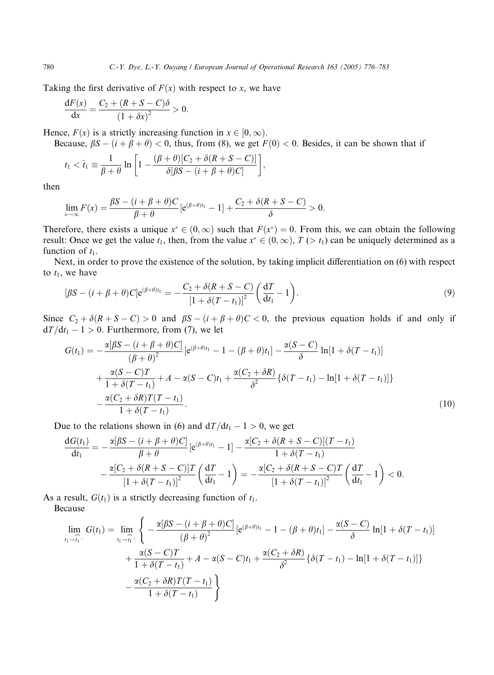Taking the first derivative of  $F(x)$  with respect to x, we have

$$
\frac{dF(x)}{dx} = \frac{C_2 + (R + S - C)\delta}{(1 + \delta x)^2} > 0.
$$

Hence,  $F(x)$  is a strictly increasing function in  $x \in [0, \infty)$ .

Because,  $\beta S - (i + \beta + \theta) < 0$ , thus, from (8), we get  $F(0) < 0$ . Besides, it can be shown that if

$$
t_1 < \hat{t}_1 \equiv \frac{1}{\beta + \theta} \ln \left[ 1 - \frac{(\beta + \theta)[C_2 + \delta(R + S - C)]}{\delta[\beta S - (i + \beta + \theta)C]} \right],
$$

then

$$
\lim_{x\to\infty}F(x)=\frac{\beta S-(i+\beta+\theta)C}{\beta+\theta}\big[e^{(\beta+\theta)t_1}-1\big]+\frac{C_2+\delta(R+S-C)}{\delta}>0.
$$

Therefore, there exists a unique  $x^* \in (0,\infty)$  such that  $F(x^*) = 0$ . From this, we can obtain the following result: Once we get the value  $t_1$ , then, from the value  $x^* \in (0, \infty)$ ,  $T \geq t_1$ ) can be uniquely determined as a function of  $t_1$ .

Next, in order to prove the existence of the solution, by taking implicit differentiation on (6) with respect to  $t_1$ , we have

$$
[\beta S - (i + \beta + \theta)C]e^{(\beta + \theta)t_1} = -\frac{C_2 + \delta(R + S - C)}{[1 + \delta(T - t_1)]^2} \left(\frac{dT}{dt_1} - 1\right).
$$
\n(9)

Since  $C_2 + \delta(R + S - C) > 0$  and  $\beta S - (i + \beta + \theta)C < 0$ , the previous equation holds if and only if  $dT/dt_1 - 1 > 0$ . Furthermore, from (7), we let

$$
G(t_1) = -\frac{\alpha[\beta S - (i + \beta + \theta)C]}{(\beta + \theta)^2} \left[e^{(\beta + \theta)t_1} - 1 - (\beta + \theta)t_1\right] - \frac{\alpha(S - C)}{\delta} \ln[1 + \delta(T - t_1)] + \frac{\alpha(S - C)T}{1 + \delta(T - t_1)} + A - \alpha(S - C)t_1 + \frac{\alpha(C_2 + \delta R)}{\delta^2} \left\{\delta(T - t_1) - \ln[1 + \delta(T - t_1)]\right\} - \frac{\alpha(C_2 + \delta R)T(T - t_1)}{1 + \delta(T - t_1)}.
$$
\n(10)

Due to the relations shown in (6) and  $d/dt_1 - 1 > 0$ , we get

$$
\frac{dG(t_1)}{dt_1} = -\frac{\alpha[\beta S - (i + \beta + \theta)C]}{\beta + \theta} [e^{(\beta + \theta)t_1} - 1] - \frac{\alpha[C_2 + \delta(R + S - C)](T - t_1)}{1 + \delta(T - t_1)} \n- \frac{\alpha[C_2 + \delta(R + S - C)]T}{[1 + \delta(T - t_1)]^2} \left(\frac{dT}{dt_1} - 1\right) = -\frac{\alpha[C_2 + \delta(R + S - C)T}{[1 + \delta(T - t_1)]^2} \left(\frac{dT}{dt_1} - 1\right) < 0.
$$

As a result,  $G(t_1)$  is a strictly decreasing function of  $t_1$ . Because

$$
\lim_{t_1 \to \hat{t}_1^-} G(t_1) = \lim_{t_1 \to \hat{t}_1^-} \left\{ -\frac{\alpha[\beta S - (i + \beta + \theta)C]}{(\beta + \theta)^2} \left[ e^{(\beta + \theta)t_1} - 1 - (\beta + \theta)t_1 \right] - \frac{\alpha(S - C)}{\delta} \ln[1 + \delta(T - t_1)] + \frac{\alpha(S - C)T}{1 + \delta(T - t_1)} + A - \alpha(S - C)t_1 + \frac{\alpha(C_2 + \delta R)}{\delta^2} \left\{ \delta(T - t_1) - \ln[1 + \delta(T - t_1)] \right\} - \frac{\alpha(C_2 + \delta R)T(T - t_1)}{1 + \delta(T - t_1)} \right\}
$$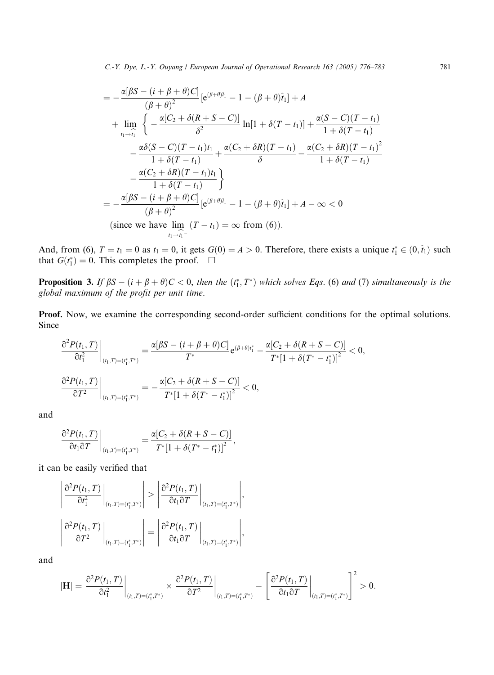$$
= -\frac{\alpha[\beta S - (i + \beta + \theta)C]}{(\beta + \theta)^2} [e^{(\beta + \theta)\hat{i}_1} - 1 - (\beta + \theta)\hat{i}_1] + A
$$
  
+ 
$$
\lim_{t_1 \to \hat{i}_1^-} \left\{ -\frac{\alpha[C_2 + \delta(R + S - C)]}{\delta^2} \ln[1 + \delta(T - t_1)] + \frac{\alpha(S - C)(T - t_1)}{1 + \delta(T - t_1)} - \frac{\alpha\delta(S - C)(T - t_1)t_1}{1 + \delta(T - t_1)} + \frac{\alpha(C_2 + \delta R)(T - t_1)}{\delta} - \frac{\alpha(C_2 + \delta R)(T - t_1)^2}{1 + \delta(T - t_1)} - \frac{\alpha(C_2 + \delta R)(T - t_1)t_1}{1 + \delta(T - t_1)} \right\}
$$
  
= 
$$
-\frac{\alpha[\beta S - (i + \beta + \theta)C]}{(\beta + \theta)^2} [e^{(\beta + \theta)\hat{i}_1} - 1 - (\beta + \theta)\hat{i}_1] + A - \infty < 0
$$
  
(since we have 
$$
\lim_{t_1 \to \hat{i}_1^-} (T - t_1) = \infty
$$
 from (6)).

And, from (6),  $T = t_1 = 0$  as  $t_1 = 0$ , it gets  $G(0) = A > 0$ . Therefore, there exists a unique  $t_1^* \in (0, \hat{t}_1)$  such that  $G(t_1^*) = 0$ . This completes the proof.  $\Box$ 

**Proposition 3.** If  $\beta S - (i + \beta + \theta)C < 0$ , then the  $(t_1^*, T^*)$  which solves Eqs. (6) and (7) simultaneously is the global maximum of the profit per unit time.

Proof. Now, we examine the corresponding second-order sufficient conditions for the optimal solutions. Since

$$
\frac{\partial^2 P(t_1, T)}{\partial t_1^2}\bigg|_{(t_1, T) = (t_1^*, T^*)} = \frac{\alpha[\beta S - (i + \beta + \theta)C]}{T^*} e^{(\beta + \theta)t_1^*} - \frac{\alpha[C_2 + \delta(R + S - C)]}{T^* [1 + \delta(T^* - t_1^*)]^2} < 0,
$$
  

$$
\frac{\partial^2 P(t_1, T)}{\partial T^2}\bigg|_{(t_1, T) = (t_1^*, T^*)} = -\frac{\alpha[C_2 + \delta(R + S - C)]}{T^* [1 + \delta(T^* - t_1^*)]^2} < 0,
$$

and

$$
\left.\frac{\partial^2 P(t_1,T)}{\partial t_1 \partial T}\right|_{(t_1,T)=(t_1^*,T^*)} = \frac{\alpha[C_2+\delta(R+S-C)]}{T^*[1+\delta(T^*-t_1^*)]^2},
$$

it can be easily verified that

$$
\left|\frac{\partial^2 P(t_1, T)}{\partial t_1^2}\bigg|_{(t_1, T)=(t_1^*, T^*)}\right| > \left|\frac{\partial^2 P(t_1, T)}{\partial t_1 \partial T}\bigg|_{(t_1, T)=(t_1^*, T^*)}\right|,
$$
  

$$
\left|\frac{\partial^2 P(t_1, T)}{\partial T^2}\bigg|_{(t_1, T)=(t_1^*, T^*)}\right| = \left|\frac{\partial^2 P(t_1, T)}{\partial t_1 \partial T}\bigg|_{(t_1, T)=(t_1^*, T^*)}\right|,
$$

and

$$
|\mathbf{H}|=\frac{\partial^2 P(t_1,T)}{\partial t_1^2}\bigg|_{(t_1,T)=(t_1^*,T^*)}\times\frac{\partial^2 P(t_1,T)}{\partial T^2}\bigg|_{(t_1,T)=(t_1^*,T^*)}-\Bigg[\frac{\partial^2 P(t_1,T)}{\partial t_1\partial T}\bigg|_{(t_1,T)=(t_1^*,T^*)}\Bigg]^2>0.
$$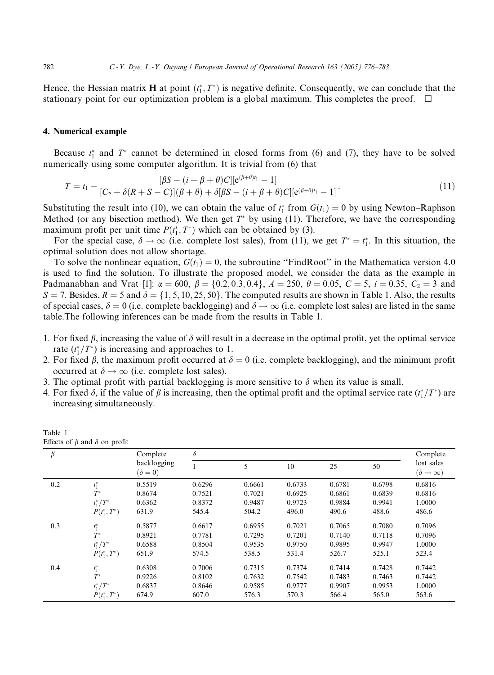Hence, the Hessian matrix **H** at point  $(t_1^*, T^*)$  is negative definite. Consequently, we can conclude that the stationary point for our optimization problem is a global maximum. This completes the proof.  $\Box$ 

## 4. Numerical example

Because  $t_1^*$  and  $T^*$  cannot be determined in closed forms from (6) and (7), they have to be solved numerically using some computer algorithm. It is trivial from (6) that

$$
T = t_1 - \frac{[\beta S - (i + \beta + \theta)C][e^{(\beta + \theta)t_1} - 1]}{[C_2 + \delta(R + S - C)][\beta + \theta) + \delta[\beta S - (i + \beta + \theta)C][e^{(\beta + \theta)t_1} - 1]}.
$$
\n(11)

Substituting the result into (10), we can obtain the value of  $t_1^*$  from  $G(t_1) = 0$  by using Newton–Raphson Method (or any bisection method). We then get  $T^*$  by using (11). Therefore, we have the corresponding maximum profit per unit time  $P(t_1^*, T^*)$  which can be obtained by (3).

For the special case,  $\delta \to \infty$  (i.e. complete lost sales), from (11), we get  $T^* = t_1^*$ . In this situation, the optimal solution does not allow shortage.

To solve the nonlinear equation,  $G(t_1) = 0$ , the subroutine "FindRoot" in the Mathematica version 4.0 is used to find the solution. To illustrate the proposed model, we consider the data as the example in Padmanabhan and Vrat [1]:  $\alpha = 600$ ,  $\beta = \{0.2, 0.3, 0.4\}$ ,  $A = 250$ ,  $\theta = 0.05$ ,  $C = 5$ ,  $i = 0.35$ ,  $C_2 = 3$  and  $S = 7$ . Besides,  $R = 5$  and  $\delta = \{1, 5, 10, 25, 50\}$ . The computed results are shown in Table 1. Also, the results of special cases,  $\delta = 0$  (i.e. complete backlogging) and  $\delta \to \infty$  (i.e. complete lost sales) are listed in the same table.The following inferences can be made from the results in Table 1.

- 1. For fixed  $\beta$ , increasing the value of  $\delta$  will result in a decrease in the optimal profit, yet the optimal service rate  $(t_1^*/T^*)$  is increasing and approaches to 1.
- 2. For fixed  $\beta$ , the maximum profit occurred at  $\delta = 0$  (i.e. complete backlogging), and the minimum profit occurred at  $\delta \rightarrow \infty$  (i.e. complete lost sales).
- 3. The optimal profit with partial backlogging is more sensitive to  $\delta$  when its value is small.
- 4. For fixed  $\delta$ , if the value of  $\beta$  is increasing, then the optimal profit and the optimal service rate  $(t_1^*/T^*)$  are increasing simultaneously.

| $\beta$ |                 | Complete<br>backlogging<br>$(\delta = 0)$ | $\delta$ |        |        |        |        | Complete                                    |
|---------|-----------------|-------------------------------------------|----------|--------|--------|--------|--------|---------------------------------------------|
|         |                 |                                           |          | 5      | 10     | 25     | 50     | lost sales<br>$(\delta \rightarrow \infty)$ |
| 0.2     | $t_1^*$         | 0.5519                                    | 0.6296   | 0.6661 | 0.6733 | 0.6781 | 0.6798 | 0.6816                                      |
|         | $T^*$           | 0.8674                                    | 0.7521   | 0.7021 | 0.6925 | 0.6861 | 0.6839 | 0.6816                                      |
|         | $t_1^*/T^*$     | 0.6362                                    | 0.8372   | 0.9487 | 0.9723 | 0.9884 | 0.9941 | 1.0000                                      |
|         | $P(t_1^*, T^*)$ | 631.9                                     | 545.4    | 504.2  | 496.0  | 490.6  | 488.6  | 486.6                                       |
| 0.3     | $t_1^*$         | 0.5877                                    | 0.6617   | 0.6955 | 0.7021 | 0.7065 | 0.7080 | 0.7096                                      |
|         | $T^*$           | 0.8921                                    | 0.7781   | 0.7295 | 0.7201 | 0.7140 | 0.7118 | 0.7096                                      |
|         | $t_1^*/T^*$     | 0.6588                                    | 0.8504   | 0.9535 | 0.9750 | 0.9895 | 0.9947 | 1.0000                                      |
|         | $P(t_1^*, T^*)$ | 651.9                                     | 574.5    | 538.5  | 531.4  | 526.7  | 525.1  | 523.4                                       |
| 0.4     | $t_1^*$         | 0.6308                                    | 0.7006   | 0.7315 | 0.7374 | 0.7414 | 0.7428 | 0.7442                                      |
|         | $T^*$           | 0.9226                                    | 0.8102   | 0.7632 | 0.7542 | 0.7483 | 0.7463 | 0.7442                                      |
|         | $t_1^*/T^*$     | 0.6837                                    | 0.8646   | 0.9585 | 0.9777 | 0.9907 | 0.9953 | 1.0000                                      |
|         | $P(t_1^*, T^*)$ | 674.9                                     | 607.0    | 576.3  | 570.3  | 566.4  | 565.0  | 563.6                                       |

| Table 1                                   |  |  |  |
|-------------------------------------------|--|--|--|
| Effects of $\beta$ and $\delta$ on profit |  |  |  |